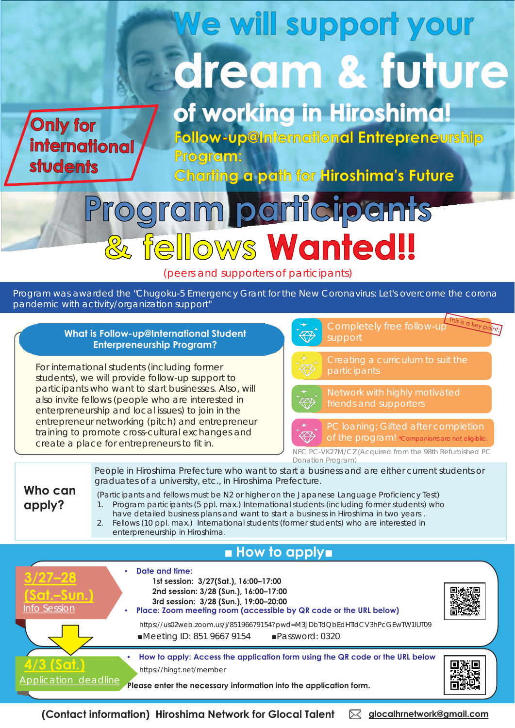# We will support your dream & future

**Only for international students** 

of working in Hiroshima!

**Follow-up@International Entrepreneurship** Program:

Charting a path for Hiroshima's Future

# participants ogra fellows Wanted!!

(peers and supporters of participants)

Program was awarded the "Chugoku-5 Emergency Grant for the New Coronavirus: Let's overcome the corona pandemic with activity/organization support"

#### For international students (including former students), we will provide follow-up support to participants who want to start businesses. Also, will also invite fellows (people who are interested in enterpreneurship and local issues) to join in the entrepreneur networking (pitch) and entrepreneur training to promote cross-cultural exchanges and create a place for entrepreneurs to fit in. **Who can apply?** People in Hiroshima Prefecture who want to start a business and are either current students or graduates of a university, etc., in Hiroshima Prefecture. (Participants and fellows must be N2 or higher on the Japanese Language Proficiency Test) 1. Program participants (5 ppl. max.) International students (including former students) who have detailed business plans and want to start a business in Hiroshima in two years . 2. Fellows (10 ppl. max.) International students (former students) who are interested in enterpreneurship in Hiroshima. Completely free follow-up support participants friends and supporters **What is Follow-up@International Student Enterpreneurship Program?** PC loaning; Gifted after completion of the program! \*Companions are not eligibile NEC PC-VK27M/CZ (Acquired from the 98th Refurbished PC Donation Program)

## ■ **How to apply■**



**(Contact information) Hiroshima Network for Glocal Talent**   $\boxtimes$  **glocalhrnetwork@gmail.com**